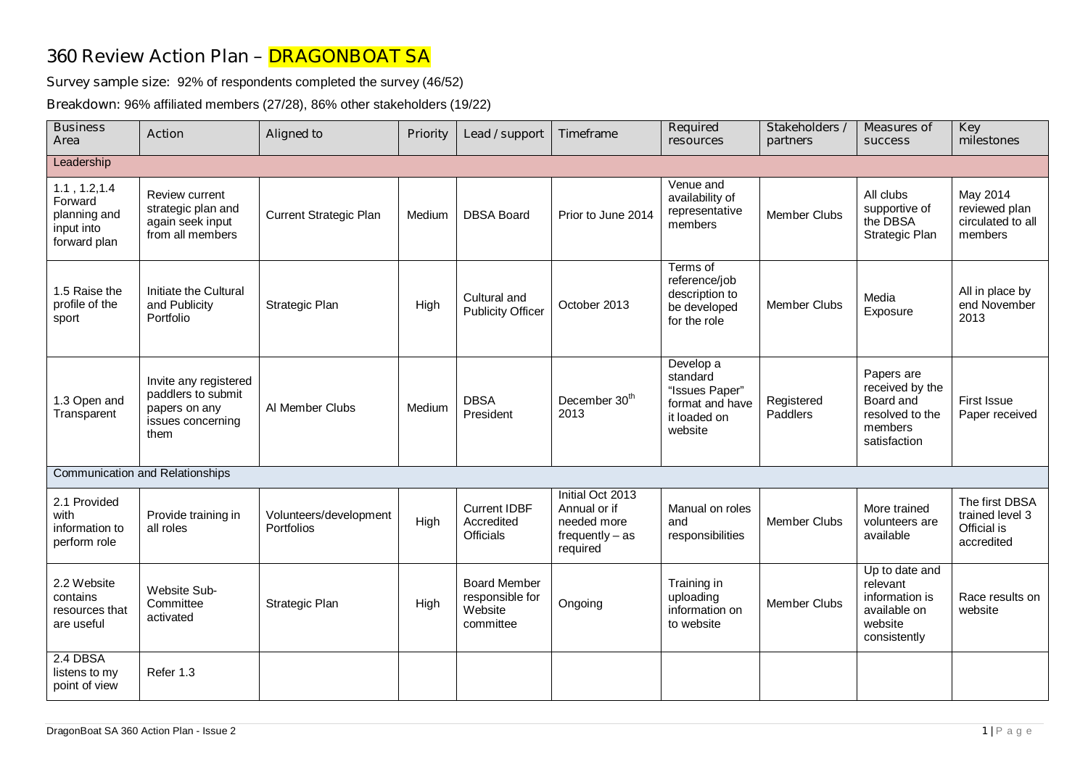## **360 Review Action Plan – DRAGONBOAT SA**

**Survey sample size:** 92% of respondents completed the survey (46/52)

**Breakdown:** 96% affiliated members (27/28), 86% other stakeholders (19/22)

| <b>Business</b><br>Area                                                | <b>Action</b>                                                                             | <b>Aligned to</b>                    | <b>Priority</b> | Lead / support                                                 | Timeframe                                                                        | <b>Required</b><br>resources                                                          | Stakeholders /<br>partners | <b>Measures of</b><br><b>SUCCESS</b>                                                     | <b>Key</b><br>milestones                                       |  |
|------------------------------------------------------------------------|-------------------------------------------------------------------------------------------|--------------------------------------|-----------------|----------------------------------------------------------------|----------------------------------------------------------------------------------|---------------------------------------------------------------------------------------|----------------------------|------------------------------------------------------------------------------------------|----------------------------------------------------------------|--|
| Leadership                                                             |                                                                                           |                                      |                 |                                                                |                                                                                  |                                                                                       |                            |                                                                                          |                                                                |  |
| 1.1, 1.2, 1.4<br>Forward<br>planning and<br>input into<br>forward plan | Review current<br>strategic plan and<br>again seek input<br>from all members              | <b>Current Strategic Plan</b>        | Medium          | <b>DBSA Board</b>                                              | Prior to June 2014                                                               | Venue and<br>availability of<br>representative<br>members                             | <b>Member Clubs</b>        | All clubs<br>supportive of<br>the DBSA<br>Strategic Plan                                 | May 2014<br>reviewed plan<br>circulated to all<br>members      |  |
| 1.5 Raise the<br>profile of the<br>sport                               | Initiate the Cultural<br>and Publicity<br>Portfolio                                       | Strategic Plan                       | High            | Cultural and<br><b>Publicity Officer</b>                       | October 2013                                                                     | Terms of<br>reference/job<br>description to<br>be developed<br>for the role           | <b>Member Clubs</b>        | Media<br>Exposure                                                                        | All in place by<br>end November<br>2013                        |  |
| 1.3 Open and<br>Transparent                                            | Invite any registered<br>paddlers to submit<br>papers on any<br>issues concerning<br>them | Al Member Clubs                      | Medium          | <b>DBSA</b><br>President                                       | December 30 <sup>th</sup><br>2013                                                | Develop a<br>standard<br>"Issues Paper"<br>format and have<br>it loaded on<br>website | Registered<br>Paddlers     | Papers are<br>received by the<br>Board and<br>resolved to the<br>members<br>satisfaction | <b>First Issue</b><br>Paper received                           |  |
|                                                                        | <b>Communication and Relationships</b>                                                    |                                      |                 |                                                                |                                                                                  |                                                                                       |                            |                                                                                          |                                                                |  |
| 2.1 Provided<br>with<br>information to<br>perform role                 | Provide training in<br>all roles                                                          | Volunteers/development<br>Portfolios | High            | <b>Current IDBF</b><br>Accredited<br><b>Officials</b>          | Initial Oct 2013<br>Annual or if<br>needed more<br>$frequently - as$<br>required | Manual on roles<br>and<br>responsibilities                                            | <b>Member Clubs</b>        | More trained<br>volunteers are<br>available                                              | The first DBSA<br>trained level 3<br>Official is<br>accredited |  |
| 2.2 Website<br>contains<br>resources that<br>are useful                | Website Sub-<br>Committee<br>activated                                                    | Strategic Plan                       | High            | <b>Board Member</b><br>responsible for<br>Website<br>committee | Ongoing                                                                          | Training in<br>uploading<br>information on<br>to website                              | <b>Member Clubs</b>        | Up to date and<br>relevant<br>information is<br>available on<br>website<br>consistently  | Race results on<br>website                                     |  |
| 2.4 DBSA<br>listens to my<br>point of view                             | Refer 1.3                                                                                 |                                      |                 |                                                                |                                                                                  |                                                                                       |                            |                                                                                          |                                                                |  |